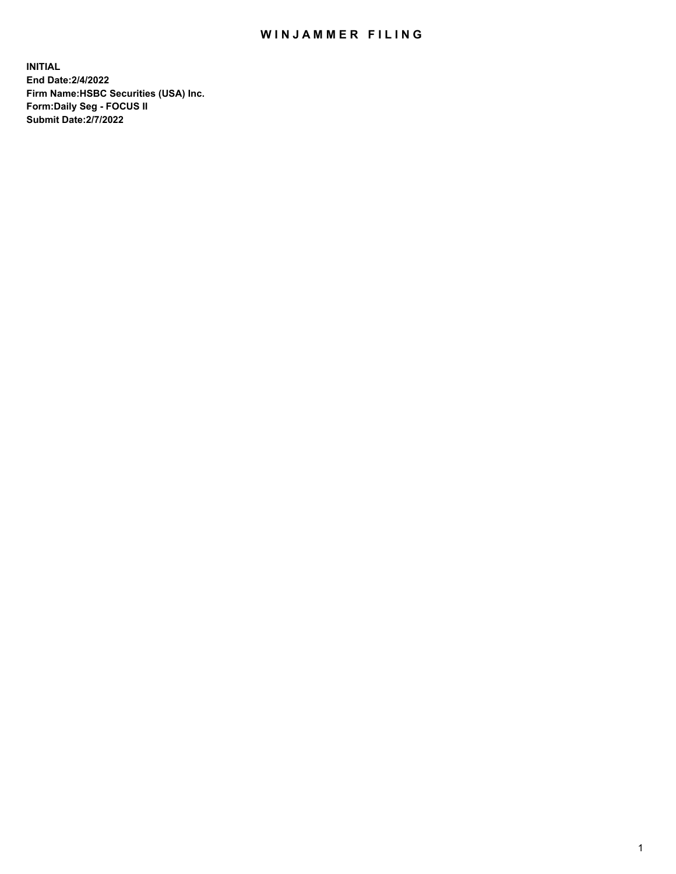## WIN JAMMER FILING

**INITIAL End Date:2/4/2022 Firm Name:HSBC Securities (USA) Inc. Form:Daily Seg - FOCUS II Submit Date:2/7/2022**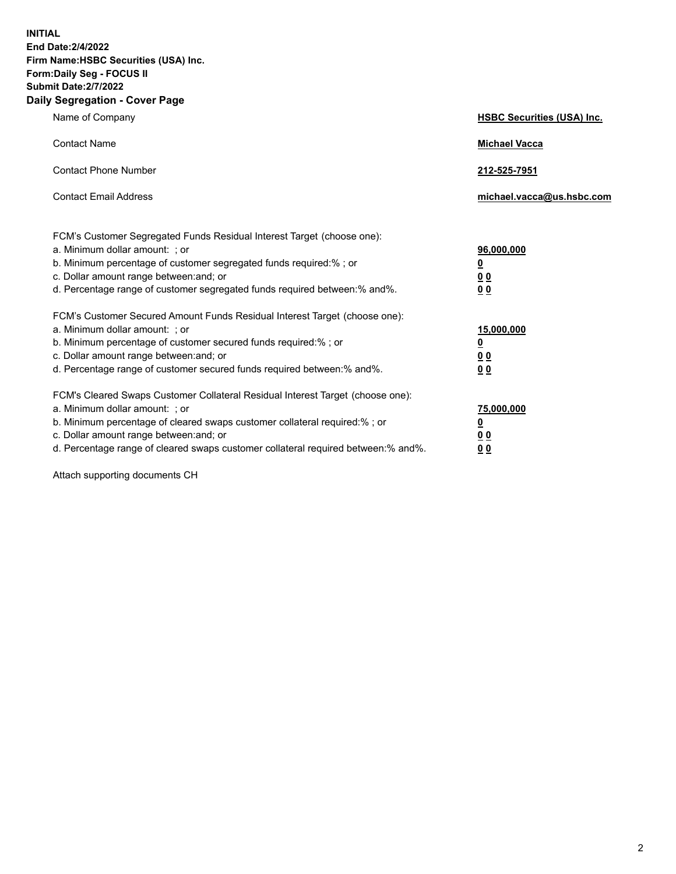**INITIAL End Date:2/4/2022 Firm Name:HSBC Securities (USA) Inc. Form:Daily Seg - FOCUS II Submit Date:2/7/2022 Daily Segregation - Cover Page**

| Name of Company                                                                                                                                                                                                                                                                                                                | <b>HSBC Securities (USA) Inc.</b>                             |
|--------------------------------------------------------------------------------------------------------------------------------------------------------------------------------------------------------------------------------------------------------------------------------------------------------------------------------|---------------------------------------------------------------|
| <b>Contact Name</b>                                                                                                                                                                                                                                                                                                            | <b>Michael Vacca</b>                                          |
| <b>Contact Phone Number</b>                                                                                                                                                                                                                                                                                                    | 212-525-7951                                                  |
| <b>Contact Email Address</b>                                                                                                                                                                                                                                                                                                   | michael.vacca@us.hsbc.com                                     |
| FCM's Customer Segregated Funds Residual Interest Target (choose one):<br>a. Minimum dollar amount: ; or<br>b. Minimum percentage of customer segregated funds required:% ; or<br>c. Dollar amount range between: and; or<br>d. Percentage range of customer segregated funds required between:% and%.                         | 96,000,000<br>$\overline{\mathbf{0}}$<br>0 <sub>0</sub><br>00 |
| FCM's Customer Secured Amount Funds Residual Interest Target (choose one):<br>a. Minimum dollar amount: ; or<br>b. Minimum percentage of customer secured funds required:%; or<br>c. Dollar amount range between: and; or<br>d. Percentage range of customer secured funds required between:% and%.                            | 15,000,000<br><u>0</u><br>0 <sub>0</sub><br>0 <sub>0</sub>    |
| FCM's Cleared Swaps Customer Collateral Residual Interest Target (choose one):<br>a. Minimum dollar amount: ; or<br>b. Minimum percentage of cleared swaps customer collateral required:% ; or<br>c. Dollar amount range between: and; or<br>d. Percentage range of cleared swaps customer collateral required between:% and%. | 75,000,000<br><u>0</u><br>00<br>00                            |

Attach supporting documents CH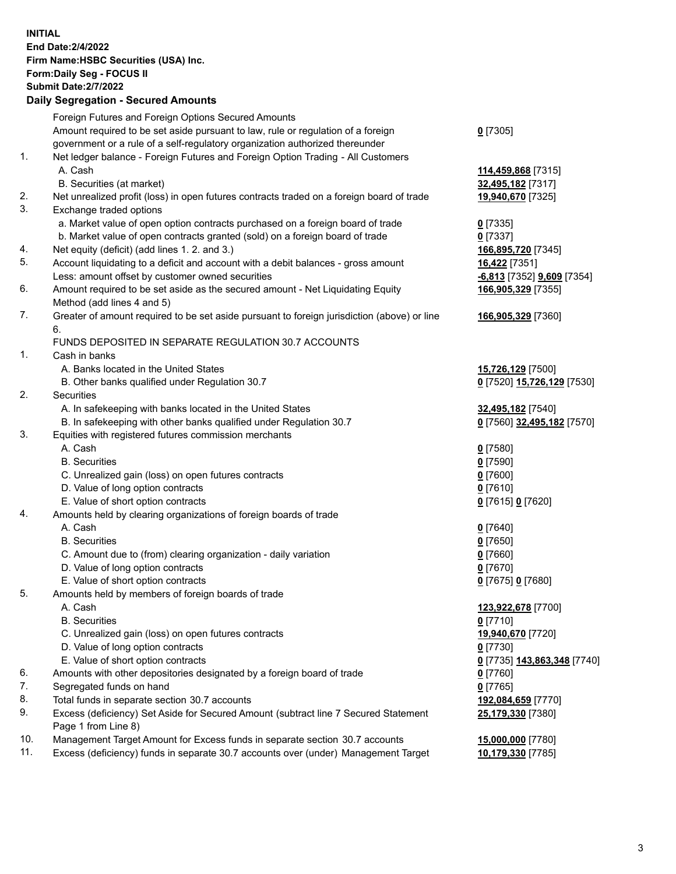**INITIAL End Date:2/4/2022 Firm Name:HSBC Securities (USA) Inc. Form:Daily Seg - FOCUS II Submit Date:2/7/2022 Daily Segregation - Secured Amounts** Foreign Futures and Foreign Options Secured Amounts Amount required to be set aside pursuant to law, rule or regulation of a foreign government or a rule of a self-regulatory organization authorized thereunder **0** [7305] 1. Net ledger balance - Foreign Futures and Foreign Option Trading - All Customers A. Cash **114,459,868** [7315] B. Securities (at market) **32,495,182** [7317] 2. Net unrealized profit (loss) in open futures contracts traded on a foreign board of trade **19,940,670** [7325] 3. Exchange traded options a. Market value of open option contracts purchased on a foreign board of trade **0** [7335] b. Market value of open contracts granted (sold) on a foreign board of trade **0** [7337] 4. Net equity (deficit) (add lines 1. 2. and 3.) **166,895,720** [7345] 5. Account liquidating to a deficit and account with a debit balances - gross amount **16,422** [7351] Less: amount offset by customer owned securities **-6,813** [7352] **9,609** [7354] 6. Amount required to be set aside as the secured amount - Net Liquidating Equity Method (add lines 4 and 5) **166,905,329** [7355] 7. Greater of amount required to be set aside pursuant to foreign jurisdiction (above) or line 6. **166,905,329** [7360] FUNDS DEPOSITED IN SEPARATE REGULATION 30.7 ACCOUNTS 1. Cash in banks A. Banks located in the United States **15,726,129** [7500] B. Other banks qualified under Regulation 30.7 **0** [7520] **15,726,129** [7530] 2. Securities A. In safekeeping with banks located in the United States **32,495,182** [7540] B. In safekeeping with other banks qualified under Regulation 30.7 **0** [7560] **32,495,182** [7570] 3. Equities with registered futures commission merchants A. Cash **0** [7580] B. Securities **0** [7590] C. Unrealized gain (loss) on open futures contracts **0** [7600] D. Value of long option contracts **0** [7610] E. Value of short option contracts **0** [7615] **0** [7620] 4. Amounts held by clearing organizations of foreign boards of trade A. Cash **0** [7640] B. Securities **0** [7650] C. Amount due to (from) clearing organization - daily variation **0** [7660] D. Value of long option contracts **0** [7670] E. Value of short option contracts **0** [7675] **0** [7680] 5. Amounts held by members of foreign boards of trade A. Cash **123,922,678** [7700] B. Securities **0** [7710] C. Unrealized gain (loss) on open futures contracts **19,940,670** [7720] D. Value of long option contracts **0** [7730] E. Value of short option contracts **0** [7735] **143,863,348** [7740] 6. Amounts with other depositories designated by a foreign board of trade **0** [7760] 7. Segregated funds on hand **0** [7765] 8. Total funds in separate section 30.7 accounts **192,084,659** [7770] 9. Excess (deficiency) Set Aside for Secured Amount (subtract line 7 Secured Statement Page 1 from Line 8) **25,179,330** [7380] 10. Management Target Amount for Excess funds in separate section 30.7 accounts **15,000,000** [7780] 11. Excess (deficiency) funds in separate 30.7 accounts over (under) Management Target **10,179,330** [7785]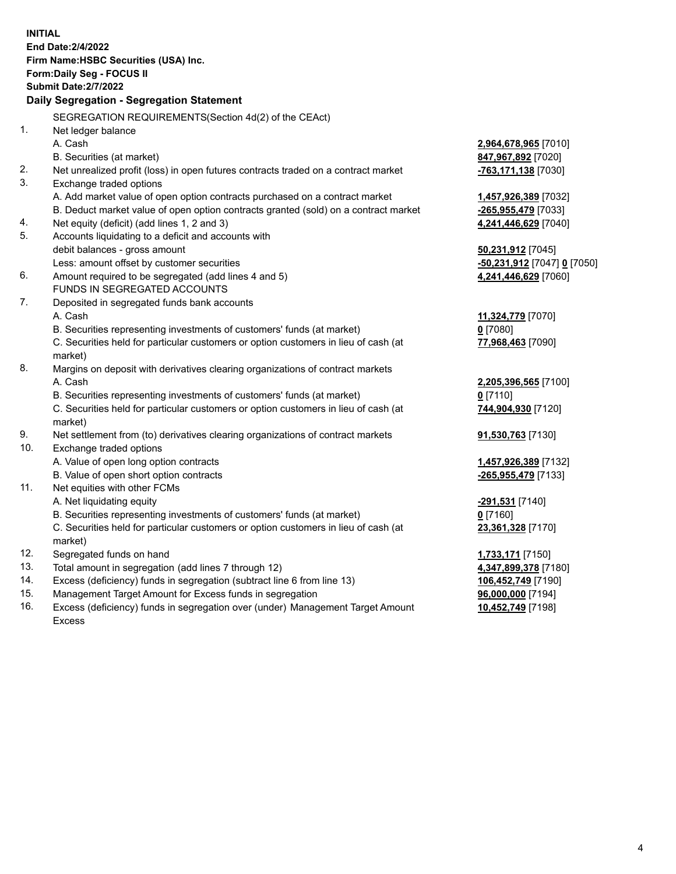| <b>INITIAL</b> |                                                                                     |                                           |
|----------------|-------------------------------------------------------------------------------------|-------------------------------------------|
|                | End Date: 2/4/2022                                                                  |                                           |
|                | Firm Name: HSBC Securities (USA) Inc.                                               |                                           |
|                | Form: Daily Seg - FOCUS II                                                          |                                           |
|                | <b>Submit Date: 2/7/2022</b>                                                        |                                           |
|                | Daily Segregation - Segregation Statement                                           |                                           |
|                | SEGREGATION REQUIREMENTS(Section 4d(2) of the CEAct)                                |                                           |
| 1.             | Net ledger balance                                                                  |                                           |
|                | A. Cash                                                                             | 2,964,678,965 [7010]                      |
|                | B. Securities (at market)                                                           | 847,967,892 [7020]                        |
| 2.             | Net unrealized profit (loss) in open futures contracts traded on a contract market  | -763,171,138 [7030]                       |
| 3.             | Exchange traded options                                                             |                                           |
|                | A. Add market value of open option contracts purchased on a contract market         | 1,457,926,389 [7032]                      |
|                | B. Deduct market value of open option contracts granted (sold) on a contract market | <u>-265,955,479</u> [7033]                |
| 4.             | Net equity (deficit) (add lines 1, 2 and 3)                                         | 4,241,446,629 [7040]                      |
| 5.             | Accounts liquidating to a deficit and accounts with                                 |                                           |
|                | debit balances - gross amount                                                       | 50,231,912 [7045]                         |
|                | Less: amount offset by customer securities                                          | <u>-50,231,912</u> [7047] <u>0</u> [7050] |
| 6.             | Amount required to be segregated (add lines 4 and 5)                                | 4,241,446,629 [7060]                      |
|                | FUNDS IN SEGREGATED ACCOUNTS                                                        |                                           |
| 7.             | Deposited in segregated funds bank accounts                                         |                                           |
|                | A. Cash                                                                             | 11,324,779 [7070]                         |
|                | B. Securities representing investments of customers' funds (at market)              | $0$ [7080]                                |
|                | C. Securities held for particular customers or option customers in lieu of cash (at | 77,968,463 [7090]                         |
|                | market)                                                                             |                                           |
| 8.             | Margins on deposit with derivatives clearing organizations of contract markets      |                                           |
|                | A. Cash                                                                             | 2,205,396,565 [7100]                      |
|                | B. Securities representing investments of customers' funds (at market)              | 0 <sup>[7110]</sup>                       |
|                | C. Securities held for particular customers or option customers in lieu of cash (at | 744,904,930 [7120]                        |
|                | market)                                                                             |                                           |
| 9.             | Net settlement from (to) derivatives clearing organizations of contract markets     | 91,530,763 [7130]                         |
| 10.            | Exchange traded options                                                             |                                           |
|                | A. Value of open long option contracts                                              | 1,457,926,389 [7132]                      |
|                | B. Value of open short option contracts                                             | -265,955,479 [7133]                       |
| 11.            | Net equities with other FCMs                                                        |                                           |
|                | A. Net liquidating equity                                                           | <mark>-291,531</mark> [7140]              |
|                | B. Securities representing investments of customers' funds (at market)              | $0$ [7160]                                |
|                | C. Securities held for particular customers or option customers in lieu of cash (at | 23,361,328 [7170]                         |
|                | market)                                                                             |                                           |
| 12.            | Segregated funds on hand                                                            | 1,733,171 [7150]                          |
| 13.            | Total amount in segregation (add lines 7 through 12)                                | 4,347,899,378 [7180]                      |
| 14.            | Excess (deficiency) funds in segregation (subtract line 6 from line 13)             | 106,452,749 [7190]                        |
| 15.            | Management Target Amount for Excess funds in segregation                            | 96,000,000 [7194]                         |

16. Excess (deficiency) funds in segregation over (under) Management Target Amount Excess

**10,452,749** [7198]